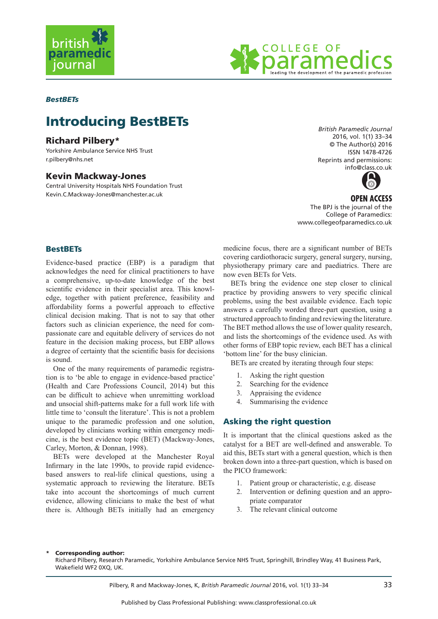



## *BestBETs*

# Introducing BestBETs

# Richard Pilbery\*

Yorkshire Ambulance Service NHS Trust r.pilbery@nhs.net

## Kevin Mackway-Jones

Central University Hospitals NHS Foundation Trust Kevin.C.Mackway-Jones@manchester.ac.uk

*British Paramedic Journal* 2016, vol. 1(1) 33–34 © The Author(s) 2016 ISSN 1478-4726 Reprints and permissions: info@class.co.uk



**OPEN ACCESS** The BPJ is the journal of the College of Paramedics: www.collegeofparamedics.co.uk

## **BestBETs**

Evidence-based practice (EBP) is a paradigm that acknowledges the need for clinical practitioners to have a comprehensive, up-to-date knowledge of the best scientific evidence in their specialist area. This knowledge, together with patient preference, feasibility and affordability forms a powerful approach to effective clinical decision making. That is not to say that other factors such as clinician experience, the need for compassionate care and equitable delivery of services do not feature in the decision making process, but EBP allows a degree of certainty that the scientific basis for decisions is sound.

One of the many requirements of paramedic registration is to 'be able to engage in evidence-based practice' (Health and Care Professions Council, 2014) but this can be difficult to achieve when unremitting workload and unsocial shift-patterns make for a full work life with little time to 'consult the literature'. This is not a problem unique to the paramedic profession and one solution, developed by clinicians working within emergency medicine, is the best evidence topic (BET) (Mackway-Jones, Carley, Morton, & Donnan, 1998).

BETs were developed at the Manchester Royal Infirmary in the late 1990s, to provide rapid evidencebased answers to real-life clinical questions, using a systematic approach to reviewing the literature. BETs take into account the shortcomings of much current evidence, allowing clinicians to make the best of what there is. Although BETs initially had an emergency medicine focus, there are a significant number of BETs covering cardiothoracic surgery, general surgery, nursing, physiotherapy primary care and paediatrics. There are now even BETs for Vets.

BETs bring the evidence one step closer to clinical practice by providing answers to very specific clinical problems, using the best available evidence. Each topic answers a carefully worded three-part question, using a structured approach to finding and reviewing the literature. The BET method allows the use of lower quality research, and lists the shortcomings of the evidence used. As with other forms of EBP topic review, each BET has a clinical 'bottom line' for the busy clinician.

BETs are created by iterating through four steps:

- 1. Asking the right question
- 2. Searching for the evidence
- 3. Appraising the evidence
- 4. Summarising the evidence

## Asking the right question

It is important that the clinical questions asked as the catalyst for a BET are well-defined and answerable. To aid this, BETs start with a general question, which is then broken down into a three-part question, which is based on the PICO framework:

- 1. Patient group or characteristic, e.g. disease
- 2. Intervention or defining question and an appropriate comparator
- 3. The relevant clinical outcome

#### Corresponding author:

Richard Pilbery, Research Paramedic, Yorkshire Ambulance Service NHS Trust, Springhill, Brindley Way, 41 Business Park, Wakefield WF2 0XQ, UK.